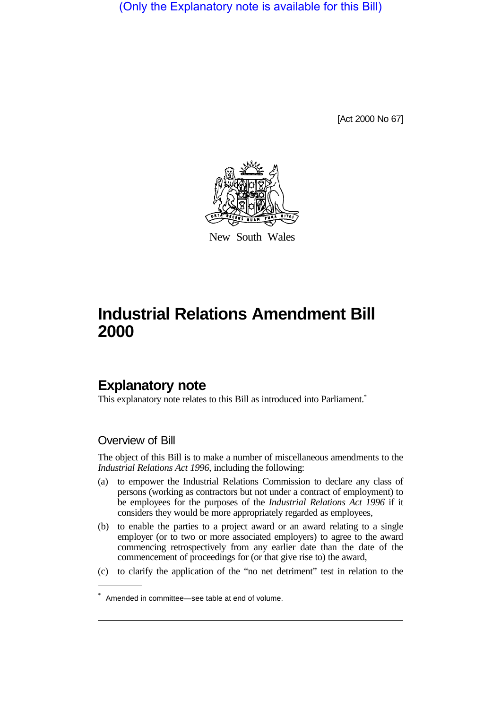(Only the Explanatory note is available for this Bill)

[Act 2000 No 67]



New South Wales

## **Industrial Relations Amendment Bill 2000**

## **Explanatory note**

This explanatory note relates to this Bill as introduced into Parliament.<sup>\*</sup>

## Overview of Bill

The object of this Bill is to make a number of miscellaneous amendments to the *Industrial Relations Act 1996*, including the following:

- (a) to empower the Industrial Relations Commission to declare any class of persons (working as contractors but not under a contract of employment) to be employees for the purposes of the *Industrial Relations Act 1996* if it considers they would be more appropriately regarded as employees,
- (b) to enable the parties to a project award or an award relating to a single employer (or to two or more associated employers) to agree to the award commencing retrospectively from any earlier date than the date of the commencement of proceedings for (or that give rise to) the award,
- (c) to clarify the application of the "no net detriment" test in relation to the

<sup>\*</sup> Amended in committee—see table at end of volume.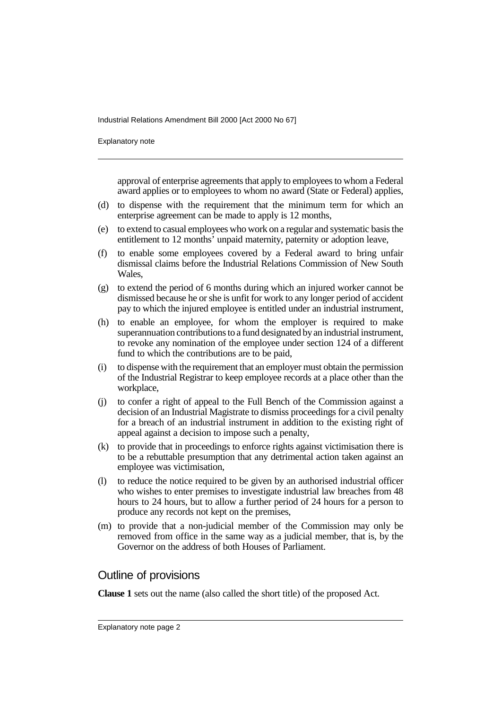Industrial Relations Amendment Bill 2000 [Act 2000 No 67]

Explanatory note

approval of enterprise agreements that apply to employees to whom a Federal award applies or to employees to whom no award (State or Federal) applies,

- (d) to dispense with the requirement that the minimum term for which an enterprise agreement can be made to apply is 12 months,
- (e) to extend to casual employees who work on a regular and systematic basis the entitlement to 12 months' unpaid maternity, paternity or adoption leave,
- (f) to enable some employees covered by a Federal award to bring unfair dismissal claims before the Industrial Relations Commission of New South Wales,
- (g) to extend the period of 6 months during which an injured worker cannot be dismissed because he or she is unfit for work to any longer period of accident pay to which the injured employee is entitled under an industrial instrument,
- (h) to enable an employee, for whom the employer is required to make superannuation contributions to a fund designated by an industrial instrument, to revoke any nomination of the employee under section 124 of a different fund to which the contributions are to be paid,
- (i) to dispense with the requirement that an employer must obtain the permission of the Industrial Registrar to keep employee records at a place other than the workplace,
- (j) to confer a right of appeal to the Full Bench of the Commission against a decision of an Industrial Magistrate to dismiss proceedings for a civil penalty for a breach of an industrial instrument in addition to the existing right of appeal against a decision to impose such a penalty,
- (k) to provide that in proceedings to enforce rights against victimisation there is to be a rebuttable presumption that any detrimental action taken against an employee was victimisation,
- (l) to reduce the notice required to be given by an authorised industrial officer who wishes to enter premises to investigate industrial law breaches from 48 hours to 24 hours, but to allow a further period of 24 hours for a person to produce any records not kept on the premises,
- (m) to provide that a non-judicial member of the Commission may only be removed from office in the same way as a judicial member, that is, by the Governor on the address of both Houses of Parliament.

## Outline of provisions

**Clause 1** sets out the name (also called the short title) of the proposed Act.